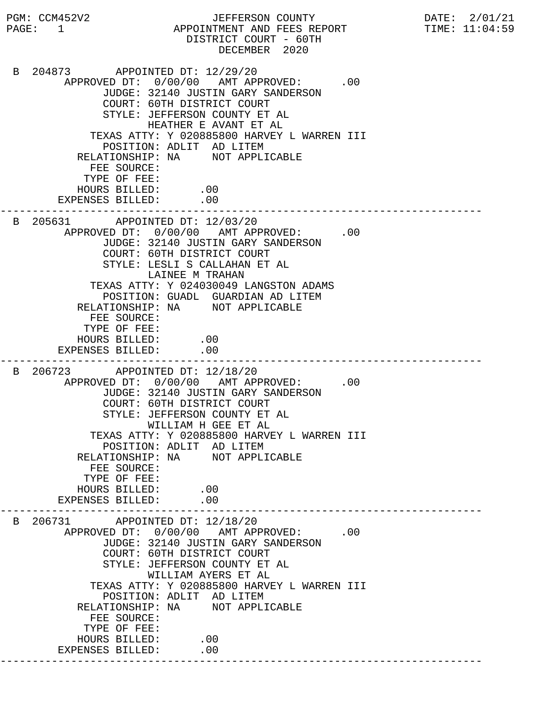PGM: CCM452V2 JEFFERSON COUNTY DATE: 2/01/21 PAGE: 1 APPOINTMENT AND FEES REPORT TIME: 11:04:59 DISTRICT COURT - 60TH DECEMBER 2020 B 204873 APPOINTED DT: 12/29/20 APPROVED DT:  $0/00/00$  AMT APPROVED: .00 JUDGE: 32140 JUSTIN GARY SANDERSON COURT: 60TH DISTRICT COURT STYLE: JEFFERSON COUNTY ET AL HEATHER E AVANT ET AL TEXAS ATTY: Y 020885800 HARVEY L WARREN III POSITION: ADLIT AD LITEM RELATIONSHIP: NA NOT APPLICABLE FEE SOURCE: TYPE OF FEE: HOURS BILLED: .00 EXPENSES BILLED: .00 --------------------------------------------------------------------------- B 205631 APPOINTED DT: 12/03/20 APPROVED DT:  $0/00/00$  AMT APPROVED: .00 JUDGE: 32140 JUSTIN GARY SANDERSON COURT: 60TH DISTRICT COURT STYLE: LESLI S CALLAHAN ET AL LAINEE M TRAHAN TEXAS ATTY: Y 024030049 LANGSTON ADAMS POSITION: GUADL GUARDIAN AD LITEM RELATIONSHIP: NA NOT APPLICABLE FEE SOURCE: TYPE OF FEE: HOURS BILLED: .00 EXPENSES BILLED: .00 --------------------------------------------------------------------------- B 206723 APPOINTED DT: 12/18/20 APPROVED DT:  $0/00/00$  AMT APPROVED: .00 JUDGE: 32140 JUSTIN GARY SANDERSON COURT: 60TH DISTRICT COURT STYLE: JEFFERSON COUNTY ET AL WILLIAM H GEE ET AL TEXAS ATTY: Y 020885800 HARVEY L WARREN III POSITION: ADLIT AD LITEM RELATIONSHIP: NA NOT APPLICABLE FEE SOURCE: TYPE OF FEE: HOURS BILLED: .00<br>ENSES BILLED: .00 EXPENSES BILLED: --------------------------------------------------------------------------- B 206731 APPOINTED DT: 12/18/20 APPROVED DT:  $0/00/00$  AMT APPROVED: .00 JUDGE: 32140 JUSTIN GARY SANDERSON COURT: 60TH DISTRICT COURT STYLE: JEFFERSON COUNTY ET AL WILLIAM AYERS ET AL TEXAS ATTY: Y 020885800 HARVEY L WARREN III POSITION: ADLIT AD LITEM RELATIONSHIP: NA NOT APPLICABLE FEE SOURCE: TYPE OF FEE: HOURS BILLED: .00 EXPENSES BILLED: .00 ---------------------------------------------------------------------------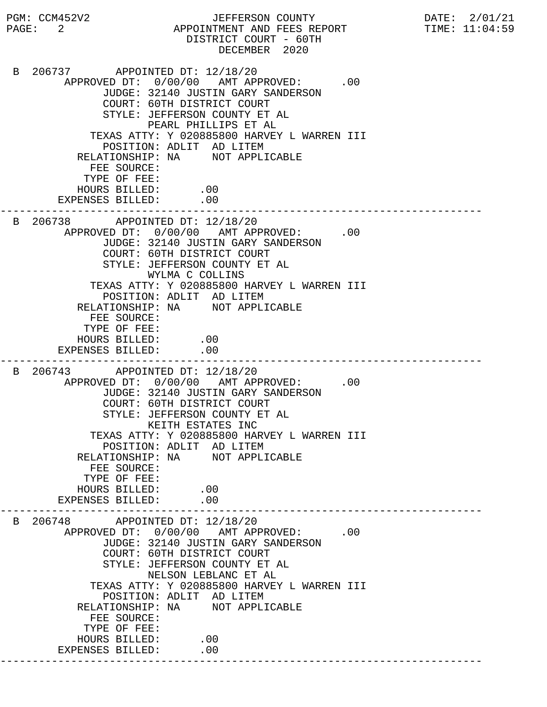PGM: CCM452V2 JEFFERSON COUNTY DATE: 2/01/21 PAGE: 2 APPOINTMENT AND FEES REPORT TIME:  $11:04:59$  DISTRICT COURT - 60TH DECEMBER 2020 B 206737 APPOINTED DT: 12/18/20 APPROVED DT:  $0/00/00$  AMT APPROVED: .00 JUDGE: 32140 JUSTIN GARY SANDERSON COURT: 60TH DISTRICT COURT STYLE: JEFFERSON COUNTY ET AL PEARL PHILLIPS ET AL TEXAS ATTY: Y 020885800 HARVEY L WARREN III POSITION: ADLIT AD LITEM RELATIONSHIP: NA NOT APPLICABLE FEE SOURCE: TYPE OF FEE: HOURS BILLED: .00 EXPENSES BILLED: .00 --------------------------------------------------------------------------- B 206738 APPOINTED DT: 12/18/20 APPROVED DT:  $0/00/00$  AMT APPROVED: .00 JUDGE: 32140 JUSTIN GARY SANDERSON COURT: 60TH DISTRICT COURT STYLE: JEFFERSON COUNTY ET AL WYLMA C COLLINS TEXAS ATTY: Y 020885800 HARVEY L WARREN III POSITION: ADLIT AD LITEM RELATIONSHIP: NA NOT APPLICABLE FEE SOURCE: TYPE OF FEE: HOURS BILLED: .00 EXPENSES BILLED: .00 --------------------------------------------------------------------------- B 206743 APPOINTED DT: 12/18/20 APPROVED DT:  $0/00/00$  AMT APPROVED: .00 JUDGE: 32140 JUSTIN GARY SANDERSON COURT: 60TH DISTRICT COURT STYLE: JEFFERSON COUNTY ET AL KEITH ESTATES INC TEXAS ATTY: Y 020885800 HARVEY L WARREN III POSITION: ADLIT AD LITEM RELATIONSHIP: NA NOT APPLICABLE FEE SOURCE: TYPE OF FEE: HOURS BILLED: .00<br>ENSES BILLED: .00 EXPENSES BILLED: --------------------------------------------------------------------------- B 206748 APPOINTED DT: 12/18/20 APPROVED DT:  $0/00/00$  AMT APPROVED: .00 JUDGE: 32140 JUSTIN GARY SANDERSON COURT: 60TH DISTRICT COURT STYLE: JEFFERSON COUNTY ET AL NELSON LEBLANC ET AL TEXAS ATTY: Y 020885800 HARVEY L WARREN III POSITION: ADLIT AD LITEM RELATIONSHIP: NA NOT APPLICABLE FEE SOURCE: TYPE OF FEE: HOURS BILLED: .00 EXPENSES BILLED: .00 ---------------------------------------------------------------------------